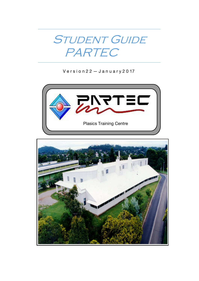

 $V$  ersion  $22 - J$  anuary  $2017$ 



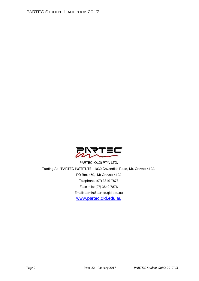

PARTEC (QLD) PTY. LTD. Trading As 'PARTEC INSTITUTE' 1030 Cavendish Road, Mt. Gravatt 4122. PO Box 459, Mt Gravatt 4122 Telephone: (07) 3849 7878 Facsimile: (07) 3849 7876 Email: admin@partec.qld.edu.au [www.partec.qld.edu.au](http://www.partec.qld.edu.au/)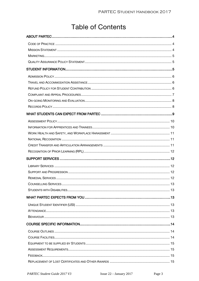# **Table of Contents**

| COUNSELUNG SERVICES | 13 |
|---------------------|----|
|                     |    |
|                     |    |
|                     |    |
|                     |    |
|                     |    |
|                     |    |
|                     |    |
|                     |    |
|                     |    |
|                     |    |
|                     |    |
|                     |    |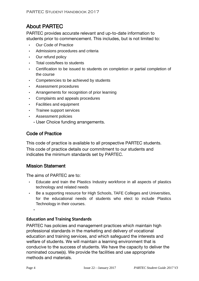# <span id="page-3-0"></span>About PARTEC

PARTEC provides accurate relevant and up-to-date information to students prior to commencement. This includes, but is not limited to:

- Our Code of Practice
- Admissions procedures and criteria
- Our refund policy
- Total costs/fees to students
- Certification to be issued to students on completion or partial completion of the course
- Competencies to be achieved by students
- Assessment procedures
- Arrangements for recognition of prior learning
- Complaints and appeals procedures
- Facilities and equipment
- Trainee support services
- Assessment policies
	- User Choice funding arrangements.

### <span id="page-3-1"></span>Code of Practice

This code of practice is available to all prospective PARTEC students. This code of practice details our commitment to our students and indicates the minimum standards set by PARTEC.

#### <span id="page-3-2"></span>Mission Statement

The aims of PARTEC are to:

- Educate and train the Plastics Industry workforce in all aspects of plastics technology and related needs
- Be a supporting resource for High Schools, TAFE Colleges and Universities, for the educational needs of students who elect to include Plastics Technology in their courses.

#### **Education and Training Standards**

PARTEC has policies and management practices which maintain high professional standards in the marketing and delivery of vocational education and training services, and which safeguard the interests and welfare of students. We will maintain a learning environment that is conducive to the success of students. We have the capacity to deliver the nominated course(s). We provide the facilities and use appropriate methods and materials.

•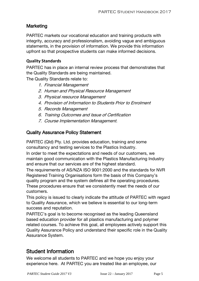### <span id="page-4-0"></span>Marketing

PARTEC markets our vocational education and training products with integrity, accuracy and professionalism, avoiding vague and ambiguous statements, in the provision of information. We provide this information upfront so that prospective students can make informed decisions.

#### **Quality Standards**

PARTEC has in place an internal review process that demonstrates that the Quality Standards are being maintained.

The Quality Standards relate to:

- 1. Financial Management
- 2. Human and Physical Resource Management
- 3. Physical resource Management
- 4. Provision of Information to Students Prior to Enrolment
- 5. Records Management
- 6. Training Outcomes and Issue of Certification
- 7. Course Implementation Management.

### <span id="page-4-1"></span>Quality Assurance Policy Statement

PARTEC (Qld) Pty. Ltd. provides education, training and some consultancy and testing services to the Plastics Industry.

In order to meet the expectations and needs of our customers, we maintain good communication with the Plastics Manufacturing Industry and ensure that our services are of the highest standard.

The requirements of AS/NZA ISO 9001:2000 and the standards for NVR Registered Training Organisations form the basis of this Company's quality program and the system defines all the operating procedures. These procedures ensure that we consistently meet the needs of our customers.

This policy is issued to clearly indicate the attitude of PARTEC with regard to Quality Assurance, which we believe is essential to our long-term success and reputation.

PARTEC's goal is to become recognised as the leading Queensland based education provider for all plastics manufacturing and polymer related courses. To achieve this goal, all employees actively support this Quality Assurance Policy and understand their specific role in the Quality Assurance System.

### <span id="page-4-2"></span>Student Information

We welcome all students to PARTEC and we hope you enjoy your experience here. At PARTEC you are treated like an employee, our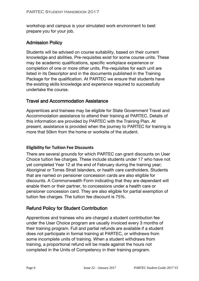workshop and campus is your simulated work environment to best prepare you for your job.

### <span id="page-5-0"></span>Admission Policy

Students will be advised on course suitability, based on their current knowledge and abilities. Pre-requisites exist for some course units. These may be academic qualifications, specific workplace experience or completion of one or more other units. Pre-requisites for each unit are listed in its Descriptor and in the documents published in the Training Package for the qualification. At PARTEC we ensure that students have the existing skills knowledge and experience required to successfully undertake the course.

### <span id="page-5-1"></span>Travel and Accommodation Assistance

Apprentices and trainees may be eligible for State Government Travel and Accommodation assistance to attend their training at PARTEC. Details of this information are provided by PARTEC with the Training Plan. At present, assistance is provided when the journey to PARTEC for training is more that 50km from the home or worksite of the student.

#### **Eligibility for Tuition Fee Discounts**

There are several grounds for which PARTEC can grant discounts on User Choice tuition fee charges. These include students under 17 who have not yet completed Year 12 at the end of February during the training year; Aboriginal or Torres Strait Islanders, or health care cardholders. Students that are named on pensioner concession cards are also eligible for discounts. A Commonwealth Form indicating that they are dependant will enable them or their partner, to concessions under a health care or pensioner concession card. They are also eligible for partial exemption of tuition fee charges. The tuition fee discount is 75%.

### <span id="page-5-2"></span>Refund Policy for Student Contribution

Apprentices and trainees who are charged a student contribution fee under the User Choice program are usually invoiced every 3 months of their training program. Full and partial refunds are available if a student does not participate in formal training at PARTEC, or withdraws from some incomplete units of training. When a student withdraws from training, a proportional refund will be made against the hours not completed in the Units of Competency in their training program.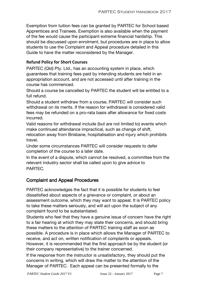Exemption from tuition fees can be granted by PARTEC for School based Apprentices and Trainees. Exemption is also available when the payment of the fee would cause the participant extreme financial hardship. This should be discussed upon enrolment, but procedures are in place to allow students to use the Complaint and Appeal procedure detailed in this Guide to have the matter reconsidered by the Manager.

### **Refund Policy for Short Courses**

PARTEC (Qld) Pty. Ltd., has an accounting system in place, which guarantees that training fees paid by intending students are held in an appropriation account, and are not accessed until after training in the course has commenced.

Should a course be cancelled by PARTEC the student will be entitled to a full refund.

Should a student withdraw from a course, PARTEC will consider such withdrawal on its merits. If the reason for withdrawal is considered valid fees may be refunded on a pro-rata basis after allowance for fixed costs incurred.

Valid reasons for withdrawal include (but are not limited to) events which make continued attendance impractical, such as change of shift, relocation away from Brisbane, hospitalisation and injury which prohibits travel.

Under some circumstances PARTEC will consider requests to defer completion of the course to a later date.

In the event of a dispute, which cannot be resolved, a committee from the relevant industry sector shall be called upon to give advice to PARTEC.

### <span id="page-6-0"></span>Complaint and Appeal Procedures

PARTEC acknowledges the fact that it is possible for students to feel dissatisfied about aspects of a grievance or complaint, or about an assessment outcome, which they may want to appeal. It is PARTEC policy to take these matters seriously, and will act upon the subject of any complaint found to be substantiated.

Students who feel that they have a genuine issue of concern have the right to a fair hearing at which they may state their concerns, and should bring these matters to the attention of PARTEC training staff as soon as possible. A procedure is in place which allows the Manager of PARTEC to receive, and act on, written notification of complaints or appeals. However, it is recommended that the first approach be by the student (or their company representative) to the trainer concerned.

If the response from the instructor is unsatisfactory, they should put the concerns in writing, which will draw the matter to the attention of the Manager of PARTEC. Each appeal can be presented formally to the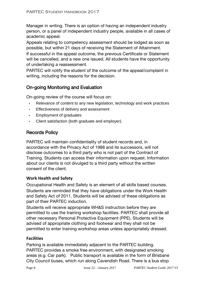Manager in writing. There is an option of having an independent industry person, or a panel of independent industry people, available in all cases of academic appeal.

Appeals relating to competency assessment should be lodged as soon as possible, but within 21 days of receiving the Statement of Attainment.

If successful in the appeal outcome, the previous Certificate or Statement will be cancelled, and a new one issued. All students have the opportunity of undertaking a reassessment.

PARTEC will notify the student of the outcome of the appeal/complaint in writing, including the reasons for the decision.

### <span id="page-7-0"></span>On-going Monitoring and Evaluation

On-going review of the course will focus on:

- Relevance of content to any new legislation, technology and work practices
- Effectiveness of delivery and assessment
- Employment of graduates
- Client satisfaction (both graduate and employer).

### <span id="page-7-1"></span>Records Policy

PARTEC will maintain confidentiality of student records and, in accordance with the Privacy Act of 1988 and its successors, will not disclose outcomes to a third party who is not part of the Contract of Training. Students can access their information upon request. Information about our clients is not divulged to a third party without the written consent of the client.

#### **Work Health and Safety**

Occupational Health and Safety is an element of all skills based courses. Students are reminded that they have obligations under the Work Health and Safety Act of 2011. Students will be advised of these obligations as part of their PARTEC induction.

Students will receive appropriate WH&S instruction before they are permitted to use the training workshop facilities. PARTEC shall provide all other necessary Personal Protective Equipment (PPE). Students will be advised of appropriate clothing and footwear and they shall not be permitted to enter training workshop areas unless appropriately dressed.

#### **Facilities**

Parking is available immediately adjacent to the PARTEC building. PARTEC provides a smoke free environment, with designated smoking areas (e.g. Car park). Public transport is available in the form of Brisbane City Council buses, which run along Cavendish Road. There is a bus stop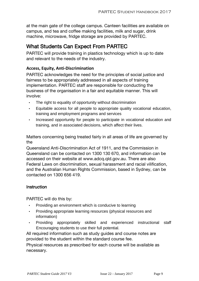at the main gate of the college campus. Canteen facilities are available on campus, and tea and coffee making facilities, milk and sugar, drink machine, microwave, fridge storage are provided by PARTEC.

## <span id="page-8-0"></span>What Students Can Expect From PARTEC

PARTEC will provide training in plastics technology which is up to date and relevant to the needs of the industry.

### **Access, Equity, Anti-Discrimination**

PARTEC acknowledges the need for the principles of social justice and fairness to be appropriately addressed in all aspects of training implementation. PARTEC staff are responsible for conducting the business of the organisation in a fair and equitable manner. This will involve:

- The right to equality of opportunity without discrimination
- Equitable access for all people to appropriate quality vocational education, training and employment programs and services
- Increased opportunity for people to participate in vocational education and training, and in associated decisions, which affect their lives.

Matters concerning being treated fairly in all areas of life are governed by the

Queensland Anti-Discrimination Act of 1911, and the Commission in Queensland can be contacted on 1300 130 670, and information can be accessed on their website at www.adcq.qld.gov.au. There are also Federal Laws on discrimination, sexual harassment and racial vilification, and the Australian Human Rights Commission, based in Sydney, can be contacted on 1300 656 419.

#### **Instruction**

PARTEC will do this by:

- Providing an environment which is conducive to learning
- Providing appropriate learning resources (physical resources and information)
- Providing appropriately skilled and experienced instructional staff Encouraging students to use their full potential.

All required information such as study guides and course notes are provided to the student within the standard course fee.

Physical resources as prescribed for each course will be available as necessary.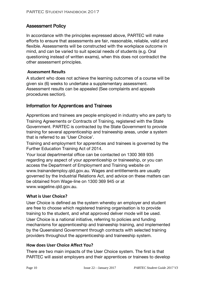### <span id="page-9-0"></span>Assessment Policy

In accordance with the principles expressed above, PARTEC will make efforts to ensure that assessments are fair, reasonable, reliable, valid and flexible. Assessments will be constructed with the workplace outcome in mind, and can be varied to suit special needs of students (e.g. Oral questioning instead of written exams), when this does not contradict the other assessment principles.

#### **Assessment Results**

A student who does not achieve the learning outcomes of a course will be given six (6) weeks to undertake a supplementary assessment. Assessment results can be appealed (See complaints and appeals procedures section).

### <span id="page-9-1"></span>Information for Apprentices and Trainees

Apprentices and trainees are people employed in industry who are party to Training Agreements or Contracts of Training, registered with the State Government. PARTEC is contracted by the State Government to provide training for several apprenticeship and traineeship areas, under a system that is referred to as 'User Choice'.

Training and employment for apprentices and trainees is governed by the Further Education Training Act of 2014.

Your local departmental office can be contacted on 1300 369 935 regarding any aspect of your apprenticeship or traineeship, or you can access the Department of Employment and Training website on www.trainandemploy.qld.gov.au. Wages and entitlements are usually governed by the Industrial Relations Act, and advice on these matters can be obtained from Wage-line on 1300 369 945 or at www.wageline.qld.gov.au.

#### **What is User Choice?**

User Choice is defined as the system whereby an employer and student are free to choose which registered training organisation is to provide training to the student, and what approved deliver mode will be used. User Choice is a national initiative, referring to policies and funding mechanisms for apprenticeship and traineeship training, and implemented by the Queensland Government through contracts with selected training providers throughout the apprenticeship and traineeship system.

#### **How does User Choice Affect You?**

There are two main impacts of the User Choice system. The first is that PARTEC will assist employers and their apprentices or trainees to develop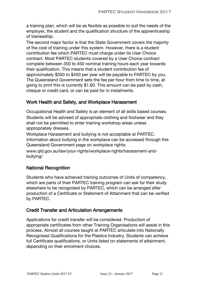a training plan, which will be as flexible as possible to suit the needs of the employer, the student and the qualification structure of the apprenticeship of traineeship.

The second major factor is that the State Government covers the majority of the cost of training under this system. However, there is a student contribution fee which PARTEC must charge under its User Choice contract. Most PARTEC students covered by a User Choice contract complete between 350 to 450 nominal training hours each year towards their qualification. This means that a student contribution fee of approximately \$350 to \$450 per year will be payable to PARTEC by you. The Queensland Government sets the fee per hour from time to time, at going to print this is currently \$1.60. This amount can be paid by cash, cheque or credit card, or can be paid for in instalments.

### <span id="page-10-0"></span>Work Health and Safety, and Workplace Harassment

Occupational Health and Safety is an element of all skills based courses. Students will be advised of appropriate clothing and footwear and they shall not be permitted to enter training workshop areas unless appropriately dresses.

Workplace Harassment and bullying is not acceptable at PARTEC. Information about bullying in the workplace can be accessed through this Queensland Government page on workplace rights:

www.qld.gov.au/law/your-rights/workplace-rights/harassment-andbullying/

### <span id="page-10-1"></span>National Recognition

Students who have achieved training outcomes of Units of competency, which are parts of their PARTEC training program can ask for their study elsewhere to be recognised by PARTEC, which can be arranged after production of a Certificate or Statement of Attainment that can be verified by PARTEC.

### <span id="page-10-2"></span>Credit Transfer and Articulation Arrangements

Applications for credit transfer will be considered. Production of appropriate certificates from other Training Organisations will assist in this process. Almost all courses taught at PARTEC articulate into Nationally Recognised Qualifications for the Plastics Industry. Students can achieve full Certificate qualifications, or Units listed on statements of attainment, depending on their enrolment choices.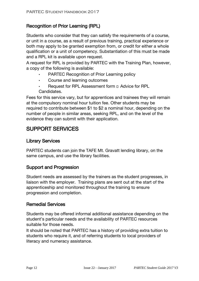### <span id="page-11-0"></span>Recognition of Prior Learning (RPL)

Students who consider that they can satisfy the requirements of a course, or unit in a course, as a result of previous training, practical experience or both may apply to be granted exemption from, or credit for either a whole qualification or a unit of competency. Substantiation of this must be made and a RPL kit is available upon request.

A request for RPL is provided by PARTEC with the Training Plan, however, a copy of the following is available:

- PARTEC Recognition of Prior Learning policy
- Course and learning outcomes
- Request for RPL Assessment form  $\square$  Advice for RPL Candidates.

Fees for this service vary, but for apprentices and trainees they will remain at the compulsory nominal hour tuition fee. Other students may be required to contribute between \$1 to \$2 a nominal hour, depending on the number of people in similar areas, seeking RPL, and on the level of the evidence they can submit with their application.

# <span id="page-11-1"></span>SUPPORT SERVICES

### <span id="page-11-2"></span>Library Services

PARTEC students can join the TAFE Mt. Gravatt lending library, on the same campus, and use the library facilities.

### <span id="page-11-3"></span>Support and Progression

Student needs are assessed by the trainers as the student progresses, in liaison with the employer. Training plans are sent out at the start of the apprenticeship and monitored throughout the training to ensure progression and completion.

### <span id="page-11-4"></span>Remedial Services

Students may be offered informal additional assistance depending on the student's particular needs and the availability of PARTEC resources suitable for those needs.

It should be noted that PARTEC has a history of providing extra tuition to students who require it, and of referring students to local providers of literacy and numeracy assistance.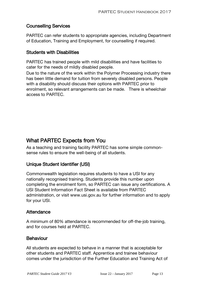### <span id="page-12-0"></span>Counselling Services

PARTEC can refer students to appropriate agencies, including Department of Education, Training and Employment, for counselling if required.

### <span id="page-12-1"></span>Students with Disabilities

PARTEC has trained people with mild disabilities and have facilities to cater for the needs of mildly disabled people.

Due to the nature of the work within the Polymer Processing industry there has been little demand for tuition from severely disabled persons. People with a disability should discuss their options with PARTEC prior to enrolment, so relevant arrangements can be made. There is wheelchair access to PARTEC.

# <span id="page-12-2"></span>What PARTEC Expects from You

As a teaching and training facility PARTEC has some simple commonsense rules to ensure the well-being of all students.

### <span id="page-12-3"></span>Unique Student Identifier (USI)

Commonwealth legislation requires students to have a USI for any nationally recognised training. Students provide this number upon completing the enrolment form, so PARTEC can issue any certifications. A USI Student Information Fact Sheet is available from PARTEC administration, or visit www.usi.gov.au for further information and to apply for your USI.

### <span id="page-12-4"></span>**Attendance**

A minimum of 80% attendance is recommended for off-the-job training, and for courses held at PARTEC.

### <span id="page-12-5"></span>**Behaviour**

All students are expected to behave in a manner that is acceptable for other students and PARTEC staff. Apprentice and trainee behaviour comes under the jurisdiction of the Further Education and Training Act of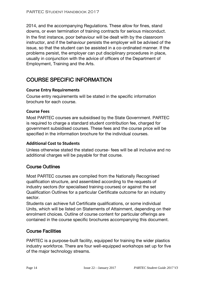2014, and the accompanying Regulations. These allow for fines, stand downs, or even termination of training contracts for serious misconduct. In the first instance, poor behaviour will be dealt with by the classroom instructor, and if the behaviour persists the employer will be advised of the issue, so that the student can be assisted in a co-ordinated manner. If the problems persist, the employer can put disciplinary procedures in place, usually in conjunction with the advice of officers of the Department of Employment, Training and the Arts.

# <span id="page-13-0"></span>COURSE SPECIFIC INFORMATION

### **Course Entry Requirements**

Course entry requirements will be stated in the specific information brochure for each course.

### **Course Fees**

Most PARTEC courses are subsidised by the State Government. PARTEC is required to charge a standard student contribution fee, charged for government subsidised courses. These fees and the course price will be specified in the information brochure for the individual courses.

#### **Additional Cost to Students**

Unless otherwise stated the stated course- fees will be all inclusive and no additional charges will be payable for that course.

### <span id="page-13-1"></span>Course Outlines

Most PARTEC courses are compiled from the Nationally Recognised qualification structure, and assembled according to the requests of industry sectors (for specialised training courses) or against the set Qualification Outlines for a particular Certificate outcome for an industry sector.

Students can achieve full Certificate qualifications, or some individual Units, which will be listed on Statements of Attainment, depending on their enrolment choices. Outline of course content for particular offerings are contained in the course specific brochures accompanying this document.

### <span id="page-13-2"></span>Course Facilities

PARTEC is a purpose-built facility, equipped for training the wider plastics industry workforce. There are four well-equipped workshops set up for five of the major technology streams.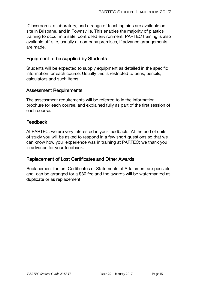Classrooms, a laboratory, and a range of teaching aids are available on site in Brisbane, and in Townsville. This enables the majority of plastics training to occur in a safe, controlled environment. PARTEC training is also available off-site, usually at company premises, if advance arrangements are made.

### <span id="page-14-0"></span>Equipment to be supplied by Students

Students will be expected to supply equipment as detailed in the specific information for each course. Usually this is restricted to pens, pencils, calculators and such items.

### <span id="page-14-1"></span>Assessment Requirements

The assessment requirements will be referred to in the information brochure for each course, and explained fully as part of the first session of each course.

### <span id="page-14-2"></span>Feedback

At PARTEC, we are very interested in your feedback. At the end of units of study you will be asked to respond in a few short questions so that we can know how your experience was in training at PARTEC; we thank you in advance for your feedback.

### <span id="page-14-3"></span>Replacement of Lost Certificates and Other Awards

Replacement for lost Certificates or Statements of Attainment are possible and can be arranged for a \$30 fee and the awards will be watermarked as duplicate or as replacement.